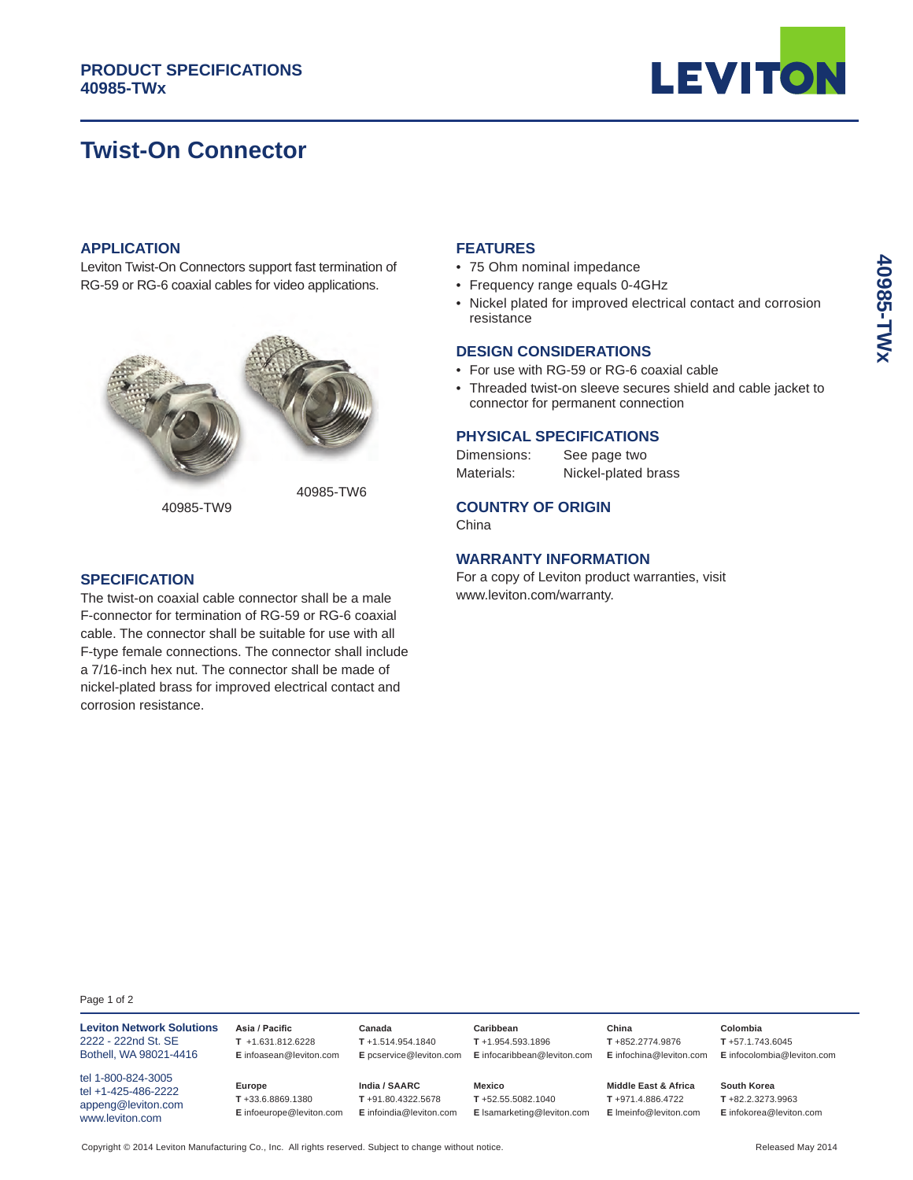# **Twist-On Connector**



# **APPLICATION**

Leviton Twist-On Connectors support fast termination of RG-59 or RG-6 coaxial cables for video applications.



40985-TW9

#### **FEATURES**

- 75 Ohm nominal impedance
- Frequency range equals 0-4GHz
- Nickel plated for improved electrical contact and corrosion resistance

#### **DESIGN CONSIDERATIONS**

- For use with RG-59 or RG-6 coaxial cable
- Threaded twist-on sleeve secures shield and cable jacket to connector for permanent connection

### **PHYSICAL SPECIFICATIONS**

| Dimensions: | See page two        |
|-------------|---------------------|
| Materials:  | Nickel-plated brass |

# **COUNTRY OF ORIGIN**

China

### **WARRANTY INFORMATION**

For a copy of Leviton product warranties, visit www.leviton.com/warranty.

#### **SPECIFICATION**

The twist-on coaxial cable connector shall be a male F-connector for termination of RG-59 or RG-6 coaxial cable. The connector shall be suitable for use with all F-type female connections. The connector shall include a 7/16-inch hex nut. The connector shall be made of nickel-plated brass for improved electrical contact and corrosion resistance.

Page 1 of 2

| <b>Leviton Network Solutions</b><br>2222 - 222nd St. SE<br>Bothell, WA 98021-4416  | Asia / Pacific<br>$T + 1.631.812.6228$<br>E infoasean@leviton.com | Canada<br>$T + 1.514.954.1840$<br>E pcservice@leviton.com     | Caribbean<br>$T + 1.954.593.1896$<br>E infocaribbean@leviton.com | China<br>T+852.2774.9876<br>E infochina@leviton.com                          | Colombia<br>T+57.1.743.6045<br>E infocolombia@leviton.com  |
|------------------------------------------------------------------------------------|-------------------------------------------------------------------|---------------------------------------------------------------|------------------------------------------------------------------|------------------------------------------------------------------------------|------------------------------------------------------------|
| tel 1-800-824-3005<br>tel +1-425-486-2222<br>appeng@leviton.com<br>www.leviton.com | Europe<br>T+33.6.8869.1380<br>E infoeurope@leviton.com            | India / SAARC<br>T+91.80.4322.5678<br>E infoindia@leviton.com | Mexico<br>T+52.55.5082.1040<br>E Isamarketing@leviton.com        | <b>Middle East &amp; Africa</b><br>T+971.4.886.4722<br>E Imeinfo@leviton.com | South Korea<br>T+82.2.3273.9963<br>E infokorea@leviton.com |

40985-TWx **40985-TWx**

Copyright © 2014 Leviton Manufacturing Co., Inc. All rights reserved. Subject to change without notice. Released May 2014